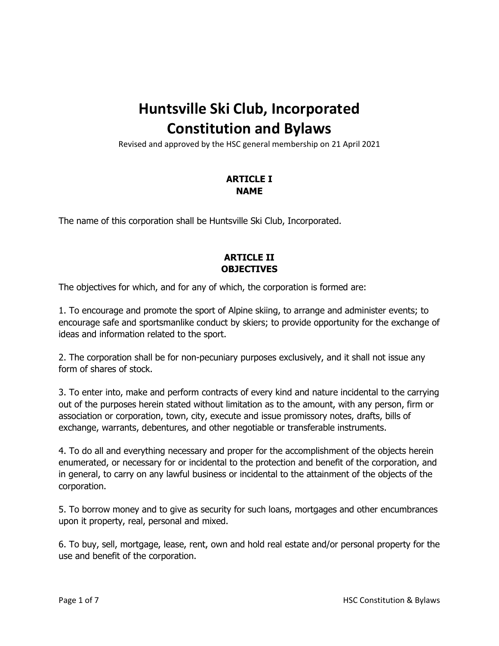# **Huntsville Ski Club, Incorporated Constitution and Bylaws**

Revised and approved by the HSC general membership on 21 April 2021

# **ARTICLE I NAME**

The name of this corporation shall be Huntsville Ski Club, Incorporated.

# **ARTICLE II OBJECTIVES**

The objectives for which, and for any of which, the corporation is formed are:

1. To encourage and promote the sport of Alpine skiing, to arrange and administer events; to encourage safe and sportsmanlike conduct by skiers; to provide opportunity for the exchange of ideas and information related to the sport.

2. The corporation shall be for non-pecuniary purposes exclusively, and it shall not issue any form of shares of stock.

3. To enter into, make and perform contracts of every kind and nature incidental to the carrying out of the purposes herein stated without limitation as to the amount, with any person, firm or association or corporation, town, city, execute and issue promissory notes, drafts, bills of exchange, warrants, debentures, and other negotiable or transferable instruments.

4. To do all and everything necessary and proper for the accomplishment of the objects herein enumerated, or necessary for or incidental to the protection and benefit of the corporation, and in general, to carry on any lawful business or incidental to the attainment of the objects of the corporation.

5. To borrow money and to give as security for such loans, mortgages and other encumbrances upon it property, real, personal and mixed.

6. To buy, sell, mortgage, lease, rent, own and hold real estate and/or personal property for the use and benefit of the corporation.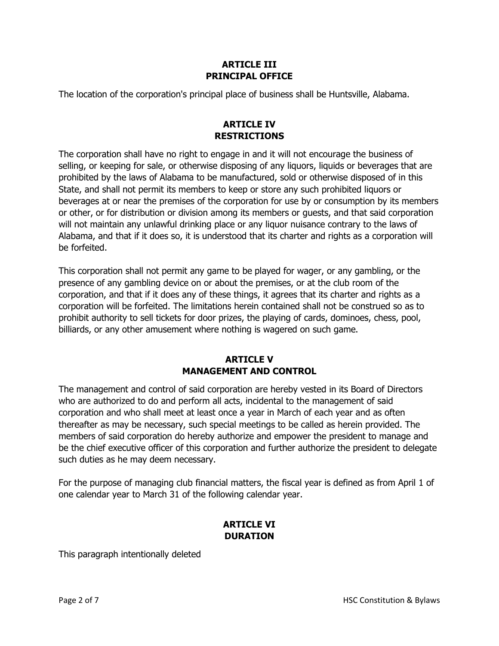## **ARTICLE III PRINCIPAL OFFICE**

The location of the corporation's principal place of business shall be Huntsville, Alabama.

## **ARTICLE IV RESTRICTIONS**

The corporation shall have no right to engage in and it will not encourage the business of selling, or keeping for sale, or otherwise disposing of any liquors, liquids or beverages that are prohibited by the laws of Alabama to be manufactured, sold or otherwise disposed of in this State, and shall not permit its members to keep or store any such prohibited liquors or beverages at or near the premises of the corporation for use by or consumption by its members or other, or for distribution or division among its members or guests, and that said corporation will not maintain any unlawful drinking place or any liquor nuisance contrary to the laws of Alabama, and that if it does so, it is understood that its charter and rights as a corporation will be forfeited.

This corporation shall not permit any game to be played for wager, or any gambling, or the presence of any gambling device on or about the premises, or at the club room of the corporation, and that if it does any of these things, it agrees that its charter and rights as a corporation will be forfeited. The limitations herein contained shall not be construed so as to prohibit authority to sell tickets for door prizes, the playing of cards, dominoes, chess, pool, billiards, or any other amusement where nothing is wagered on such game.

## **ARTICLE V MANAGEMENT AND CONTROL**

The management and control of said corporation are hereby vested in its Board of Directors who are authorized to do and perform all acts, incidental to the management of said corporation and who shall meet at least once a year in March of each year and as often thereafter as may be necessary, such special meetings to be called as herein provided. The members of said corporation do hereby authorize and empower the president to manage and be the chief executive officer of this corporation and further authorize the president to delegate such duties as he may deem necessary.

For the purpose of managing club financial matters, the fiscal year is defined as from April 1 of one calendar year to March 31 of the following calendar year.

# **ARTICLE VI DURATION**

This paragraph intentionally deleted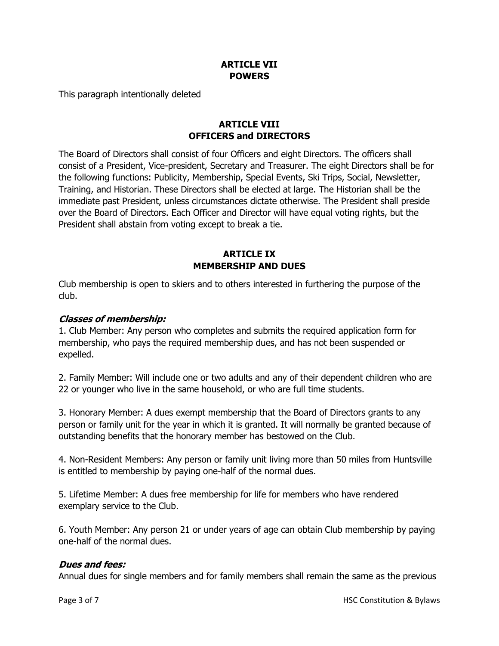## **ARTICLE VII POWERS**

This paragraph intentionally deleted

# **ARTICLE VIII OFFICERS and DIRECTORS**

The Board of Directors shall consist of four Officers and eight Directors. The officers shall consist of a President, Vice-president, Secretary and Treasurer. The eight Directors shall be for the following functions: Publicity, Membership, Special Events, Ski Trips, Social, Newsletter, Training, and Historian. These Directors shall be elected at large. The Historian shall be the immediate past President, unless circumstances dictate otherwise. The President shall preside over the Board of Directors. Each Officer and Director will have equal voting rights, but the President shall abstain from voting except to break a tie.

## **ARTICLE IX MEMBERSHIP AND DUES**

Club membership is open to skiers and to others interested in furthering the purpose of the club.

## **Classes of membership:**

1. Club Member: Any person who completes and submits the required application form for membership, who pays the required membership dues, and has not been suspended or expelled.

2. Family Member: Will include one or two adults and any of their dependent children who are 22 or younger who live in the same household, or who are full time students.

3. Honorary Member: A dues exempt membership that the Board of Directors grants to any person or family unit for the year in which it is granted. It will normally be granted because of outstanding benefits that the honorary member has bestowed on the Club.

4. Non-Resident Members: Any person or family unit living more than 50 miles from Huntsville is entitled to membership by paying one-half of the normal dues.

5. Lifetime Member: A dues free membership for life for members who have rendered exemplary service to the Club.

6. Youth Member: Any person 21 or under years of age can obtain Club membership by paying one-half of the normal dues.

## **Dues and fees:**

Annual dues for single members and for family members shall remain the same as the previous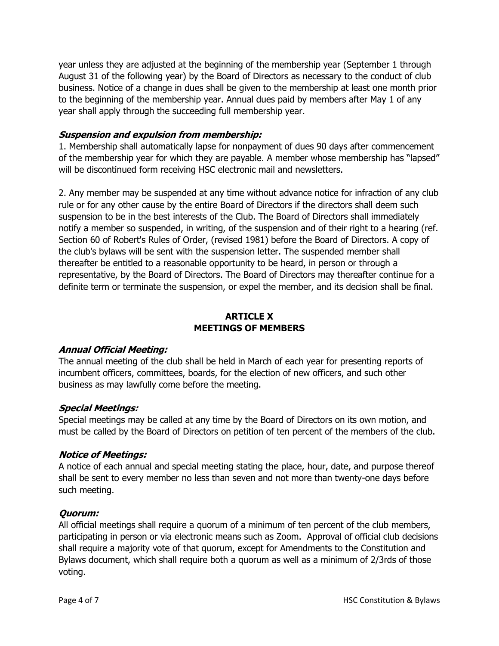year unless they are adjusted at the beginning of the membership year (September 1 through August 31 of the following year) by the Board of Directors as necessary to the conduct of club business. Notice of a change in dues shall be given to the membership at least one month prior to the beginning of the membership year. Annual dues paid by members after May 1 of any year shall apply through the succeeding full membership year.

## **Suspension and expulsion from membership:**

1. Membership shall automatically lapse for nonpayment of dues 90 days after commencement of the membership year for which they are payable. A member whose membership has "lapsed" will be discontinued form receiving HSC electronic mail and newsletters.

2. Any member may be suspended at any time without advance notice for infraction of any club rule or for any other cause by the entire Board of Directors if the directors shall deem such suspension to be in the best interests of the Club. The Board of Directors shall immediately notify a member so suspended, in writing, of the suspension and of their right to a hearing (ref. Section 60 of Robert's Rules of Order, (revised 1981) before the Board of Directors. A copy of the club's bylaws will be sent with the suspension letter. The suspended member shall thereafter be entitled to a reasonable opportunity to be heard, in person or through a representative, by the Board of Directors. The Board of Directors may thereafter continue for a definite term or terminate the suspension, or expel the member, and its decision shall be final.

### **ARTICLE X MEETINGS OF MEMBERS**

#### **Annual Official Meeting:**

The annual meeting of the club shall be held in March of each year for presenting reports of incumbent officers, committees, boards, for the election of new officers, and such other business as may lawfully come before the meeting.

#### **Special Meetings:**

Special meetings may be called at any time by the Board of Directors on its own motion, and must be called by the Board of Directors on petition of ten percent of the members of the club.

#### **Notice of Meetings:**

A notice of each annual and special meeting stating the place, hour, date, and purpose thereof shall be sent to every member no less than seven and not more than twenty-one days before such meeting.

#### **Quorum:**

All official meetings shall require a quorum of a minimum of ten percent of the club members, participating in person or via electronic means such as Zoom. Approval of official club decisions shall require a majority vote of that quorum, except for Amendments to the Constitution and Bylaws document, which shall require both a quorum as well as a minimum of 2/3rds of those voting.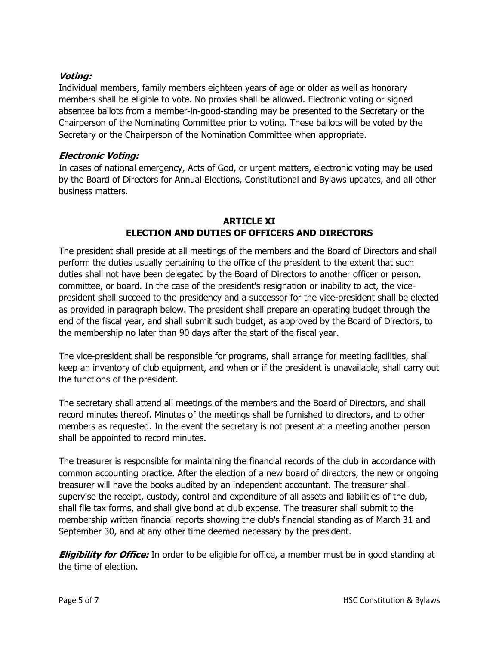## **Voting:**

Individual members, family members eighteen years of age or older as well as honorary members shall be eligible to vote. No proxies shall be allowed. Electronic voting or signed absentee ballots from a member-in-good-standing may be presented to the Secretary or the Chairperson of the Nominating Committee prior to voting. These ballots will be voted by the Secretary or the Chairperson of the Nomination Committee when appropriate.

### **Electronic Voting:**

In cases of national emergency, Acts of God, or urgent matters, electronic voting may be used by the Board of Directors for Annual Elections, Constitutional and Bylaws updates, and all other business matters.

## **ARTICLE XI ELECTION AND DUTIES OF OFFICERS AND DIRECTORS**

The president shall preside at all meetings of the members and the Board of Directors and shall perform the duties usually pertaining to the office of the president to the extent that such duties shall not have been delegated by the Board of Directors to another officer or person, committee, or board. In the case of the president's resignation or inability to act, the vicepresident shall succeed to the presidency and a successor for the vice-president shall be elected as provided in paragraph below. The president shall prepare an operating budget through the end of the fiscal year, and shall submit such budget, as approved by the Board of Directors, to the membership no later than 90 days after the start of the fiscal year.

The vice-president shall be responsible for programs, shall arrange for meeting facilities, shall keep an inventory of club equipment, and when or if the president is unavailable, shall carry out the functions of the president.

The secretary shall attend all meetings of the members and the Board of Directors, and shall record minutes thereof. Minutes of the meetings shall be furnished to directors, and to other members as requested. In the event the secretary is not present at a meeting another person shall be appointed to record minutes.

The treasurer is responsible for maintaining the financial records of the club in accordance with common accounting practice. After the election of a new board of directors, the new or ongoing treasurer will have the books audited by an independent accountant. The treasurer shall supervise the receipt, custody, control and expenditure of all assets and liabilities of the club, shall file tax forms, and shall give bond at club expense. The treasurer shall submit to the membership written financial reports showing the club's financial standing as of March 31 and September 30, and at any other time deemed necessary by the president.

**Eligibility for Office:** In order to be eligible for office, a member must be in good standing at the time of election.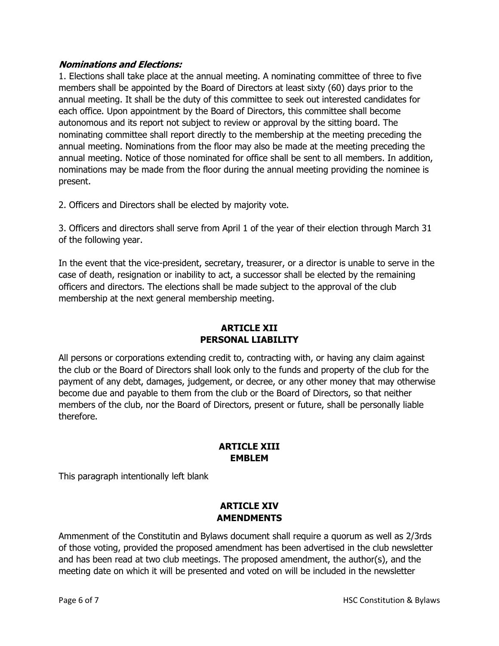## **Nominations and Elections:**

1. Elections shall take place at the annual meeting. A nominating committee of three to five members shall be appointed by the Board of Directors at least sixty (60) days prior to the annual meeting. It shall be the duty of this committee to seek out interested candidates for each office. Upon appointment by the Board of Directors, this committee shall become autonomous and its report not subject to review or approval by the sitting board. The nominating committee shall report directly to the membership at the meeting preceding the annual meeting. Nominations from the floor may also be made at the meeting preceding the annual meeting. Notice of those nominated for office shall be sent to all members. In addition, nominations may be made from the floor during the annual meeting providing the nominee is present.

2. Officers and Directors shall be elected by majority vote.

3. Officers and directors shall serve from April 1 of the year of their election through March 31 of the following year.

In the event that the vice-president, secretary, treasurer, or a director is unable to serve in the case of death, resignation or inability to act, a successor shall be elected by the remaining officers and directors. The elections shall be made subject to the approval of the club membership at the next general membership meeting.

# **ARTICLE XII PERSONAL LIABILITY**

All persons or corporations extending credit to, contracting with, or having any claim against the club or the Board of Directors shall look only to the funds and property of the club for the payment of any debt, damages, judgement, or decree, or any other money that may otherwise become due and payable to them from the club or the Board of Directors, so that neither members of the club, nor the Board of Directors, present or future, shall be personally liable therefore.

### **ARTICLE XIII EMBLEM**

This paragraph intentionally left blank

### **ARTICLE XIV AMENDMENTS**

Ammenment of the Constitutin and Bylaws document shall require a quorum as well as 2/3rds of those voting, provided the proposed amendment has been advertised in the club newsletter and has been read at two club meetings. The proposed amendment, the author(s), and the meeting date on which it will be presented and voted on will be included in the newsletter